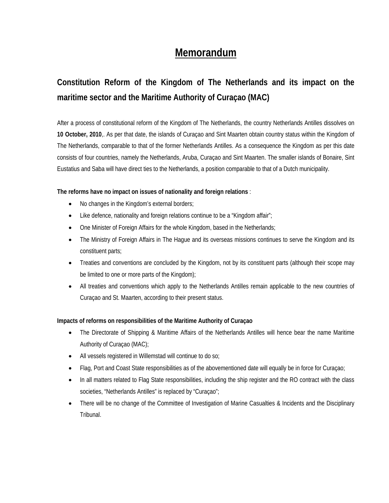# **Memorandum**

# **Constitution Reform of the Kingdom of The Netherlands and its impact on the maritime sector and the Maritime Authority of Curaçao (MAC)**

After a process of constitutional reform of the Kingdom of The Netherlands, the country Netherlands Antilles dissolves on **10 October, 2010**,. As per that date, the islands of Curaçao and Sint Maarten obtain country status within the Kingdom of The Netherlands, comparable to that of the former Netherlands Antilles. As a consequence the Kingdom as per this date consists of four countries, namely the Netherlands, Aruba, Curaçao and Sint Maarten. The smaller islands of Bonaire, Sint Eustatius and Saba will have direct ties to the Netherlands, a position comparable to that of a Dutch municipality.

## **The reforms have no impact on issues of nationality and foreign relations** :

- No changes in the Kingdom's external borders;
- Like defence, nationality and foreign relations continue to be a "Kingdom affair";
- One Minister of Foreign Affairs for the whole Kingdom, based in the Netherlands;
- The Ministry of Foreign Affairs in The Hague and its overseas missions continues to serve the Kingdom and its constituent parts;
- Treaties and conventions are concluded by the Kingdom, not by its constituent parts (although their scope may be limited to one or more parts of the Kingdom);
- All treaties and conventions which apply to the Netherlands Antilles remain applicable to the new countries of Curaçao and St. Maarten, according to their present status.

## **Impacts of reforms on responsibilities of the Maritime Authority of Curaçao**

- The Directorate of Shipping & Maritime Affairs of the Netherlands Antilles will hence bear the name Maritime Authority of Curaçao (MAC);
- All vessels registered in Willemstad will continue to do so;
- Flag, Port and Coast State responsibilities as of the abovementioned date will equally be in force for Curaçao;
- In all matters related to Flag State responsibilities, including the ship register and the RO contract with the class societies, "Netherlands Antilles" is replaced by "Curaçao";
- There will be no change of the Committee of Investigation of Marine Casualties & Incidents and the Disciplinary Tribunal.